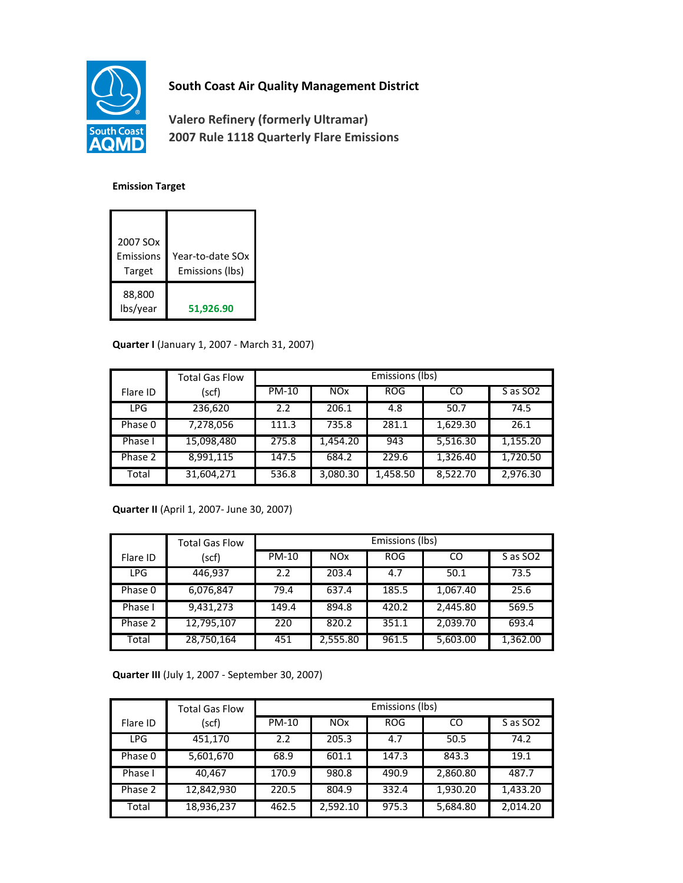

# **South Coast Air Quality Management District**

**Valero Refinery (formerly Ultramar) 2007 Rule 1118 Quarterly Flare Emissions**

#### **Emission Target**

| 2007 SO <sub>x</sub><br>Emissions<br>Target | Year-to-date SOx<br>Emissions (lbs) |
|---------------------------------------------|-------------------------------------|
| 88,800<br>lbs/year                          | 51,926.90                           |

### **Quarter I** (January 1, 2007 - March 31, 2007)

|          | <b>Total Gas Flow</b> | Emissions (lbs) |                 |            |          |          |
|----------|-----------------------|-----------------|-----------------|------------|----------|----------|
| Flare ID | (scf)                 | PM-10           | NO <sub>x</sub> | <b>ROG</b> | CO       | S as SO2 |
| LPG.     | 236,620               | 2.2             | 206.1           | 4.8        | 50.7     | 74.5     |
| Phase 0  | 7,278,056             | 111.3           | 735.8           | 281.1      | 1,629.30 | 26.1     |
| Phase I  | 15,098,480            | 275.8           | 1.454.20        | 943        | 5,516.30 | 1,155.20 |
| Phase 2  | 8,991,115             | 147.5           | 684.2           | 229.6      | 1,326.40 | 1,720.50 |
| Total    | 31,604,271            | 536.8           | 3,080.30        | 1,458.50   | 8,522.70 | 2,976.30 |

## **Quarter II** (April 1, 2007- June 30, 2007)

|            | <b>Total Gas Flow</b> | Emissions (lbs) |            |            |          |                      |
|------------|-----------------------|-----------------|------------|------------|----------|----------------------|
| Flare ID   | (scf)                 | PM-10           | <b>NOx</b> | <b>ROG</b> | CO       | S as SO <sub>2</sub> |
| <b>LPG</b> | 446,937               | 2.2             | 203.4      | 4.7        | 50.1     | 73.5                 |
| Phase 0    | 6,076,847             | 79.4            | 637.4      | 185.5      | 1,067.40 | 25.6                 |
| Phase I    | 9,431,273             | 149.4           | 894.8      | 420.2      | 2,445.80 | 569.5                |
| Phase 2    | 12,795,107            | 220             | 820.2      | 351.1      | 2,039.70 | 693.4                |
| Total      | 28,750,164            | 451             | 2,555.80   | 961.5      | 5,603.00 | 1,362.00             |

**Quarter III** (July 1, 2007 - September 30, 2007)

|            | <b>Total Gas Flow</b> | Emissions (lbs) |            |            |          |                      |
|------------|-----------------------|-----------------|------------|------------|----------|----------------------|
| Flare ID   | (scf)                 | PM-10           | <b>NOx</b> | <b>ROG</b> | CO       | S as SO <sub>2</sub> |
| <b>LPG</b> | 451,170               | 2.2             | 205.3      | 4.7        | 50.5     | 74.2                 |
| Phase 0    | 5,601,670             | 68.9            | 601.1      | 147.3      | 843.3    | 19.1                 |
| Phase I    | 40.467                | 170.9           | 980.8      | 490.9      | 2,860.80 | 487.7                |
| Phase 2    | 12,842,930            | 220.5           | 804.9      | 332.4      | 1,930.20 | 1,433.20             |
| Total      | 18,936,237            | 462.5           | 2,592.10   | 975.3      | 5,684.80 | 2,014.20             |